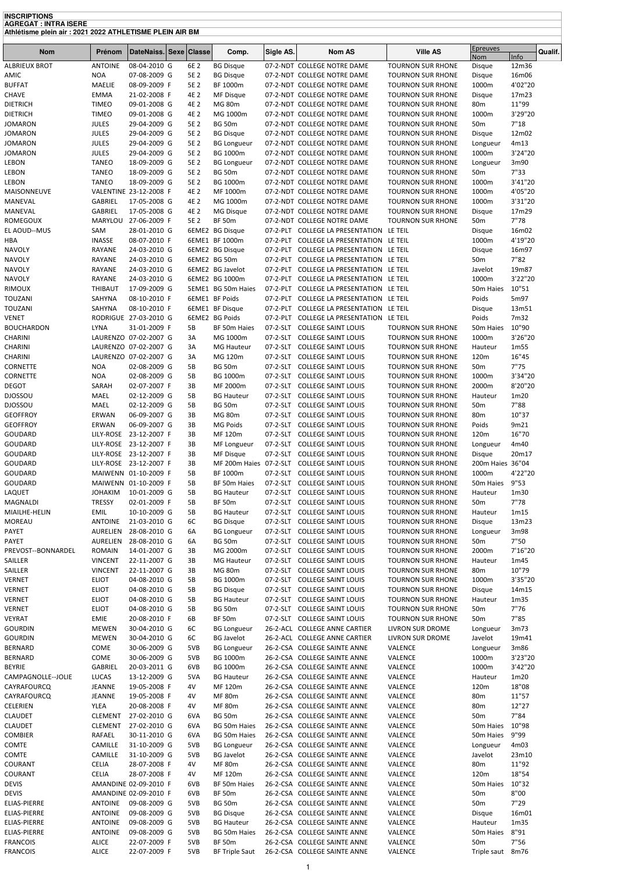**INSCRIPTIONS AGREGAT : INTRA ISERE Athlétisme plein air : 2021 2022 ATHLETISME PLEIN AIR BM**

| <u>Almelisme piem air : 2021 2022 ATHLETISME PLEIN AIR BM</u> |                              |                                       |  |              |                                        |                      |                                                                                      |                                                      |                                    |                  |
|---------------------------------------------------------------|------------------------------|---------------------------------------|--|--------------|----------------------------------------|----------------------|--------------------------------------------------------------------------------------|------------------------------------------------------|------------------------------------|------------------|
| <b>Nom</b>                                                    | Prénom                       | DateNaiss. Sexe Classe                |  |              | Comp.                                  | Sigle AS.            | <b>Nom AS</b>                                                                        | <b>Ville AS</b>                                      | <b>Epreuves</b>                    | Qualif.          |
| <b>ALBRIEUX BROT</b>                                          | <b>ANTOINE</b>               | 08-04-2010 G                          |  | 6E 2         | <b>BG Disque</b>                       |                      | 07-2-NDT COLLEGE NOTRE DAME                                                          | <b>TOURNON SUR RHONE</b>                             | Nom<br>Disque                      | Info<br>12m36    |
| AMIC                                                          | <b>NOA</b>                   | 07-08-2009 G                          |  | 5E 2         | <b>BG Disque</b>                       |                      | 07-2-NDT COLLEGE NOTRE DAME                                                          | <b>TOURNON SUR RHONE</b>                             | Disque                             | 16m06            |
| <b>BUFFAT</b>                                                 | MAELIE                       | 08-09-2009 F                          |  | 5E 2         | BF 1000m                               |                      | 07-2-NDT COLLEGE NOTRE DAME                                                          | <b>TOURNON SUR RHONE</b>                             | 1000m                              | 4'02"20          |
| <b>CHAVE</b>                                                  | <b>EMMA</b>                  | 21-02-2008 F                          |  | 4E 2         | MF Disque                              |                      | 07-2-NDT COLLEGE NOTRE DAME                                                          | <b>TOURNON SUR RHONE</b>                             | Disque                             | 17m23            |
| <b>DIETRICH</b>                                               | <b>TIMEO</b>                 | 09-01-2008 G                          |  | 4E 2         | <b>MG 80m</b>                          |                      | 07-2-NDT COLLEGE NOTRE DAME                                                          | <b>TOURNON SUR RHONE</b>                             | 80 <sub>m</sub>                    | 11"99            |
| <b>DIETRICH</b>                                               | <b>TIMEO</b>                 | 09-01-2008 G                          |  | 4E 2         | MG 1000m                               |                      | 07-2-NDT COLLEGE NOTRE DAME                                                          | <b>TOURNON SUR RHONE</b>                             | 1000m                              | 3'29"20          |
| <b>JOMARON</b>                                                | <b>JULES</b>                 | 29-04-2009 G                          |  | 5E 2         | <b>BG 50m</b>                          |                      | 07-2-NDT COLLEGE NOTRE DAME                                                          | <b>TOURNON SUR RHONE</b>                             | 50 <sub>m</sub>                    | 7"18             |
| <b>JOMARON</b><br><b>JOMARON</b>                              | <b>JULES</b><br><b>JULES</b> | 29-04-2009 G<br>29-04-2009 G          |  | 5E 2<br>5E 2 | <b>BG Disque</b><br><b>BG Longueur</b> |                      | 07-2-NDT COLLEGE NOTRE DAME<br>07-2-NDT COLLEGE NOTRE DAME                           | <b>TOURNON SUR RHONE</b><br><b>TOURNON SUR RHONE</b> | Disque<br>Longueur                 | 12m02<br>4m13    |
| <b>JOMARON</b>                                                | <b>JULES</b>                 | 29-04-2009 G                          |  | 5E 2         | <b>BG 1000m</b>                        |                      | 07-2-NDT COLLEGE NOTRE DAME                                                          | <b>TOURNON SUR RHONE</b>                             | 1000m                              | 3'24"20          |
| LEBON                                                         | <b>TANEO</b>                 | 18-09-2009 G                          |  | 5E 2         | <b>BG Longueur</b>                     |                      | 07-2-NDT COLLEGE NOTRE DAME                                                          | <b>TOURNON SUR RHONE</b>                             | Longueur                           | 3m90             |
| LEBON                                                         | TANEO                        | 18-09-2009 G                          |  | 5E 2         | <b>BG 50m</b>                          |                      | 07-2-NDT COLLEGE NOTRE DAME                                                          | <b>TOURNON SUR RHONE</b>                             | 50 <sub>m</sub>                    | 7"33             |
| LEBON                                                         | <b>TANEO</b>                 | 18-09-2009 G                          |  | 5E 2         | <b>BG 1000m</b>                        |                      | 07-2-NDT COLLEGE NOTRE DAME                                                          | <b>TOURNON SUR RHONE</b>                             | 1000m                              | 3'41"20          |
| MAISONNEUVE                                                   |                              | VALENTINE 23-12-2008 F                |  | 4E 2         | MF 1000m                               |                      | 07-2-NDT COLLEGE NOTRE DAME                                                          | <b>TOURNON SUR RHONE</b>                             | 1000m                              | 4'05"20          |
| MANEVAL                                                       | GABRIEL                      | 17-05-2008 G                          |  | 4E 2         | MG 1000m                               |                      | 07-2-NDT COLLEGE NOTRE DAME                                                          | <b>TOURNON SUR RHONE</b>                             | 1000m                              | 3'31"20          |
| MANEVAL                                                       | GABRIEL                      | 17-05-2008 G                          |  | 4E 2         | MG Disque                              |                      | 07-2-NDT COLLEGE NOTRE DAME                                                          | <b>TOURNON SUR RHONE</b>                             | Disque                             | 17m29            |
| ROMEGOUX                                                      | MARYLOU                      | 27-06-2009 F                          |  | 5E 2         | <b>BF 50m</b>                          |                      | 07-2-NDT COLLEGE NOTRE DAME                                                          | <b>TOURNON SUR RHONE</b>                             | 50 <sub>m</sub>                    | 7"78             |
| EL AOUD--MUS<br>HBA                                           | SAM<br><b>INASSE</b>         | 28-01-2010 G<br>08-07-2010 F          |  |              | 6EME2 BG Disque<br>6EME1 BF 1000m      |                      | 07-2-PLT COLLEGE LA PRESENTATION LE TEIL<br>07-2-PLT COLLEGE LA PRESENTATION LE TEIL |                                                      | Disque<br>1000m                    | 16m02<br>4'19"20 |
| <b>NAVOLY</b>                                                 | RAYANE                       | 24-03-2010 G                          |  |              | 6EME2 BG Disque                        |                      | 07-2-PLT COLLEGE LA PRESENTATION LE TEIL                                             |                                                      | Disque                             | 16m97            |
| <b>NAVOLY</b>                                                 | RAYANE                       | 24-03-2010 G                          |  |              | 6EME2 BG 50m                           |                      | 07-2-PLT COLLEGE LA PRESENTATION LE TEIL                                             |                                                      | 50 <sub>m</sub>                    | 7"82             |
| <b>NAVOLY</b>                                                 | RAYANE                       | 24-03-2010 G                          |  |              | 6EME2 BG Javelot                       |                      | 07-2-PLT COLLEGE LA PRESENTATION LE TEIL                                             |                                                      | Javelot                            | 19m87            |
| <b>NAVOLY</b>                                                 | RAYANE                       | 24-03-2010 G                          |  |              | 6EME2 BG 1000m                         |                      | 07-2-PLT COLLEGE LA PRESENTATION LE TEIL                                             |                                                      | 1000m                              | 3'22"20          |
| RIMOUX                                                        | THIBAUT                      | 17-09-2009 G                          |  |              | 5EME1 BG 50m Haies                     |                      | 07-2-PLT COLLEGE LA PRESENTATION LE TEIL                                             |                                                      | 50m Haies                          | 10"51            |
| TOUZANI                                                       | SAHYNA                       | 08-10-2010 F                          |  |              | 6EME1 BF Poids                         |                      | 07-2-PLT COLLEGE LA PRESENTATION LE TEIL                                             |                                                      | Poids                              | 5m97             |
| TOUZANI                                                       | SAHYNA                       | 08-10-2010 F                          |  |              | 6EME1 BF Disque                        |                      | 07-2-PLT COLLEGE LA PRESENTATION LE TEIL                                             |                                                      | Disque                             | 13m51            |
| VENET                                                         |                              | RODRIGUE 27-03-2010 G                 |  |              | 6EME2 BG Poids                         |                      | 07-2-PLT COLLEGE LA PRESENTATION LE TEIL                                             |                                                      | Poids                              | 7m32             |
| <b>BOUCHARDON</b>                                             | <b>LYNA</b>                  | 31-01-2009 F<br>LAURENZO 07-02-2007 G |  | 5B<br>3A     | BF 50m Haies<br>MG 1000m               | 07-2-SLT             | 07-2-SLT COLLEGE SAINT LOUIS<br><b>COLLEGE SAINT LOUIS</b>                           | <b>TOURNON SUR RHONE</b>                             | 50m Haies<br>1000m                 | 10"90<br>3'26"20 |
| CHARINI<br>CHARINI                                            |                              | LAURENZO 07-02-2007 G                 |  | 3A           | <b>MG Hauteur</b>                      | 07-2-SLT             | <b>COLLEGE SAINT LOUIS</b>                                                           | <b>TOURNON SUR RHONE</b><br><b>TOURNON SUR RHONE</b> | Hauteur                            | 1m55             |
| CHARINI                                                       |                              | LAURENZO 07-02-2007 G                 |  | 3A           | MG 120m                                | 07-2-SLT             | <b>COLLEGE SAINT LOUIS</b>                                                           | <b>TOURNON SUR RHONE</b>                             | 120m                               | 16"45            |
| CORNETTE                                                      | <b>NOA</b>                   | 02-08-2009 G                          |  | 5B           | <b>BG 50m</b>                          |                      | 07-2-SLT COLLEGE SAINT LOUIS                                                         | <b>TOURNON SUR RHONE</b>                             | 50 <sub>m</sub>                    | 7"75             |
| CORNETTE                                                      | <b>NOA</b>                   | 02-08-2009 G                          |  | 5B           | <b>BG 1000m</b>                        |                      | 07-2-SLT COLLEGE SAINT LOUIS                                                         | <b>TOURNON SUR RHONE</b>                             | 1000m                              | 3'34"20          |
| DEGOT                                                         | SARAH                        | 02-07-2007 F                          |  | 3B           | MF 2000m                               | 07-2-SLT             | <b>COLLEGE SAINT LOUIS</b>                                                           | <b>TOURNON SUR RHONE</b>                             | 2000m                              | 8'20"20          |
| DJOSSOU                                                       | MAEL                         | 02-12-2009 G                          |  | 5B           | <b>BG Hauteur</b>                      |                      | 07-2-SLT COLLEGE SAINT LOUIS                                                         | <b>TOURNON SUR RHONE</b>                             | Hauteur                            | 1m20             |
| DJOSSOU                                                       | MAEL                         | 02-12-2009 G                          |  | 5B           | <b>BG 50m</b>                          | 07-2-SLT             | <b>COLLEGE SAINT LOUIS</b>                                                           | <b>TOURNON SUR RHONE</b>                             | 50 <sub>m</sub>                    | 7"88             |
| <b>GEOFFROY</b>                                               | ERWAN                        | 06-09-2007 G                          |  | 3B           | <b>MG 80m</b>                          |                      | 07-2-SLT COLLEGE SAINT LOUIS                                                         | <b>TOURNON SUR RHONE</b>                             | 80 <sub>m</sub>                    | 10"37            |
| <b>GEOFFROY</b><br>GOUDARD                                    | ERWAN<br>LILY-ROSE           | 06-09-2007 G<br>23-12-2007 F          |  | 3B<br>3B     | MG Poids<br>MF 120m                    | 07-2-SLT<br>07-2-SLT | <b>COLLEGE SAINT LOUIS</b><br><b>COLLEGE SAINT LOUIS</b>                             | <b>TOURNON SUR RHONE</b><br><b>TOURNON SUR RHONE</b> | Poids<br>120m                      | 9m21<br>16"70    |
| GOUDARD                                                       | LILY-ROSE                    | 23-12-2007 F                          |  | 3B           | MF Longueur                            |                      | 07-2-SLT COLLEGE SAINT LOUIS                                                         | <b>TOURNON SUR RHONE</b>                             | Longueur                           | 4m40             |
| GOUDARD                                                       | LILY-ROSE                    | 23-12-2007 F                          |  | 3B           | MF Disque                              |                      | 07-2-SLT COLLEGE SAINT LOUIS                                                         | <b>TOURNON SUR RHONE</b>                             | Disque                             | 20m17            |
| GOUDARD                                                       |                              | LILY-ROSE 23-12-2007 F                |  | 3B           |                                        |                      | MF 200m Haies 07-2-SLT COLLEGE SAINT LOUIS                                           | <b>TOURNON SUR RHONE</b>                             | 200m Haies 36"04                   |                  |
| GOUDARD                                                       |                              | MAIWENN 01-10-2009 F                  |  | 5B           | BF 1000m                               |                      | 07-2-SLT COLLEGE SAINT LOUIS                                                         | <b>TOURNON SUR RHONE</b>                             | 1000m                              | 4'22"20          |
| GOUDARD                                                       |                              | MAIWENN 01-10-2009 F                  |  | 5B           | BF 50m Haies                           |                      | 07-2-SLT COLLEGE SAINT LOUIS                                                         | <b>TOURNON SUR RHONE</b>                             | 50m Haies                          | 9"53             |
| LAQUET                                                        | <b>JOHAKIM</b>               | 10-01-2009 G                          |  | 5B           | <b>BG Hauteur</b>                      |                      | 07-2-SLT COLLEGE SAINT LOUIS                                                         | <b>TOURNON SUR RHONE</b>                             | Hauteur                            | 1m30             |
| MAGNALDI                                                      | <b>TRESSY</b>                | 02-01-2009 F                          |  | 5B           | <b>BF 50m</b>                          |                      | 07-2-SLT COLLEGE SAINT LOUIS                                                         | <b>TOURNON SUR RHONE</b>                             | 50 <sub>m</sub>                    | 7"78             |
| MIAILHE-HELIN                                                 | EMIL<br>ANTOINE              | 10-10-2009 G                          |  | 5B           | <b>BG Hauteur</b>                      |                      | 07-2-SLT COLLEGE SAINT LOUIS<br>07-2-SLT COLLEGE SAINT LOUIS                         | <b>TOURNON SUR RHONE</b>                             | Hauteur                            | 1m15<br>13m23    |
| MOREAU<br>PAYET                                               | AURELIEN                     | 21-03-2010 G<br>28-08-2010 G          |  | 6C<br>6A     | <b>BG Disque</b><br><b>BG Longueur</b> |                      | 07-2-SLT COLLEGE SAINT LOUIS                                                         | <b>TOURNON SUR RHONE</b><br><b>TOURNON SUR RHONE</b> | Disque<br>Longueur                 | 3m98             |
| PAYET                                                         | AURELIEN                     | 28-08-2010 G                          |  | 6A           | <b>BG 50m</b>                          |                      | 07-2-SLT COLLEGE SAINT LOUIS                                                         | <b>TOURNON SUR RHONE</b>                             | 50 <sub>m</sub>                    | 7"50             |
| PREVOST--BONNARDEL                                            | <b>ROMAIN</b>                | 14-01-2007 G                          |  | 3B           | MG 2000m                               |                      | 07-2-SLT COLLEGE SAINT LOUIS                                                         | <b>TOURNON SUR RHONE</b>                             | 2000m                              | 7'16"20          |
| SAILLER                                                       | <b>VINCENT</b>               | 22-11-2007 G                          |  | 3B           | <b>MG Hauteur</b>                      |                      | 07-2-SLT COLLEGE SAINT LOUIS                                                         | <b>TOURNON SUR RHONE</b>                             | Hauteur                            | 1m45             |
| SAILLER                                                       | <b>VINCENT</b>               | 22-11-2007 G                          |  | 3B           | <b>MG 80m</b>                          |                      | 07-2-SLT COLLEGE SAINT LOUIS                                                         | <b>TOURNON SUR RHONE</b>                             | 80 <sub>m</sub>                    | 10"79            |
| VERNET                                                        | <b>ELIOT</b>                 | 04-08-2010 G                          |  | 5B           | <b>BG 1000m</b>                        |                      | 07-2-SLT COLLEGE SAINT LOUIS                                                         | <b>TOURNON SUR RHONE</b>                             | 1000m                              | 3'35"20          |
| <b>VERNET</b>                                                 | <b>ELIOT</b>                 | 04-08-2010 G                          |  | 5B           | <b>BG Disque</b>                       |                      | 07-2-SLT COLLEGE SAINT LOUIS                                                         | <b>TOURNON SUR RHONE</b>                             | Disque                             | 14m15            |
| <b>VERNET</b>                                                 | <b>ELIOT</b>                 | 04-08-2010 G                          |  | 5B           | <b>BG Hauteur</b>                      |                      | 07-2-SLT COLLEGE SAINT LOUIS                                                         | <b>TOURNON SUR RHONE</b>                             | Hauteur                            | 1 <sub>m35</sub> |
| <b>VERNET</b><br>VEYRAT                                       | <b>ELIOT</b><br>EMIE         | 04-08-2010 G<br>20-08-2010 F          |  | 5B<br>6B     | <b>BG 50m</b><br><b>BF 50m</b>         |                      | 07-2-SLT COLLEGE SAINT LOUIS<br>07-2-SLT COLLEGE SAINT LOUIS                         | <b>TOURNON SUR RHONE</b><br><b>TOURNON SUR RHONE</b> | 50 <sub>m</sub><br>50 <sub>m</sub> | 7"76<br>7"85     |
| <b>GOURDIN</b>                                                | MEWEN                        | 30-04-2010 G                          |  | 6C           | <b>BG Longueur</b>                     |                      | 26-2-ACL COLLEGE ANNE CARTIER                                                        | LIVRON SUR DROME                                     | Longueur                           | 3m73             |
| <b>GOURDIN</b>                                                | MEWEN                        | 30-04-2010 G                          |  | 6C           | <b>BG Javelot</b>                      |                      | 26-2-ACL COLLEGE ANNE CARTIER                                                        | LIVRON SUR DROME                                     | Javelot                            | 19m41            |
| <b>BERNARD</b>                                                | COME                         | 30-06-2009 G                          |  | 5VB          | <b>BG Longueur</b>                     |                      | 26-2-CSA COLLEGE SAINTE ANNE                                                         | VALENCE                                              | Longueur                           | 3m86             |
| <b>BERNARD</b>                                                | COME                         | 30-06-2009 G                          |  | 5VB          | <b>BG 1000m</b>                        |                      | 26-2-CSA COLLEGE SAINTE ANNE                                                         | VALENCE                                              | 1000m                              | 3'23"20          |
| <b>BEYRIE</b>                                                 | GABRIEL                      | 20-03-2011 G                          |  | 6VB          | <b>BG 1000m</b>                        |                      | 26-2-CSA COLLEGE SAINTE ANNE                                                         | VALENCE                                              | 1000m                              | 3'42"20          |
| CAMPAGNOLLE--JOLIE                                            | LUCAS                        | 13-12-2009 G                          |  | 5VA          | <b>BG Hauteur</b>                      |                      | 26-2-CSA COLLEGE SAINTE ANNE                                                         | VALENCE                                              | Hauteur                            | 1m20             |
| CAYRAFOURCQ                                                   | JEANNE                       | 19-05-2008 F                          |  | 4V           | MF 120m                                |                      | 26-2-CSA COLLEGE SAINTE ANNE                                                         | VALENCE                                              | 120m                               | 18"08            |
| CAYRAFOURCQ<br>CELERIEN                                       | JEANNE<br>YLEA               | 19-05-2008 F<br>20-08-2008 F          |  | 4V<br>4V     | MF 80m<br><b>MF 80m</b>                |                      | 26-2-CSA COLLEGE SAINTE ANNE<br>26-2-CSA COLLEGE SAINTE ANNE                         | VALENCE<br>VALENCE                                   | 80 <sub>m</sub><br>80 <sub>m</sub> | 11"57<br>12"27   |
| <b>CLAUDET</b>                                                | <b>CLEMENT</b>               | 27-02-2010 G                          |  | 6VA          | <b>BG 50m</b>                          |                      | 26-2-CSA COLLEGE SAINTE ANNE                                                         | VALENCE                                              | 50 <sub>m</sub>                    | 7"84             |
| <b>CLAUDET</b>                                                | <b>CLEMENT</b>               | 27-02-2010 G                          |  | 6VA          | BG 50m Haies                           |                      | 26-2-CSA COLLEGE SAINTE ANNE                                                         | VALENCE                                              | 50m Haies                          | 10"98            |
| <b>COMBIER</b>                                                | RAFAEL                       | 30-11-2010 G                          |  | 6VA          | BG 50m Haies                           |                      | 26-2-CSA COLLEGE SAINTE ANNE                                                         | VALENCE                                              | 50m Haies                          | 9"99             |
| COMTE                                                         | CAMILLE                      | 31-10-2009 G                          |  | 5VB          | <b>BG Longueur</b>                     |                      | 26-2-CSA COLLEGE SAINTE ANNE                                                         | VALENCE                                              | Longueur                           | 4m03             |
| COMTE                                                         | CAMILLE                      | 31-10-2009 G                          |  | 5VB          | <b>BG Javelot</b>                      |                      | 26-2-CSA COLLEGE SAINTE ANNE                                                         | VALENCE                                              | Javelot                            | 23m10            |
| COURANT                                                       | CELIA                        | 28-07-2008 F                          |  | 4V           | <b>MF 80m</b>                          |                      | 26-2-CSA COLLEGE SAINTE ANNE                                                         | VALENCE                                              | 80 <sub>m</sub>                    | 11"92            |
| COURANT                                                       | CELIA                        | 28-07-2008 F                          |  | 4V           | MF 120m                                |                      | 26-2-CSA COLLEGE SAINTE ANNE                                                         | VALENCE                                              | 120m                               | 18"54            |
| DEVIS                                                         |                              | AMANDINE 02-09-2010 F                 |  | 6VB          | BF 50m Haies                           |                      | 26-2-CSA COLLEGE SAINTE ANNE                                                         | VALENCE                                              | 50m Haies                          | 10"32            |
| DEVIS                                                         |                              | AMANDINE 02-09-2010 F                 |  | 6VB          | <b>BF 50m</b>                          |                      | 26-2-CSA COLLEGE SAINTE ANNE                                                         | VALENCE                                              | 50 <sub>m</sub>                    | 8"00             |
| ELIAS-PIERRE<br>ELIAS-PIERRE                                  | ANTOINE<br>ANTOINE           | 09-08-2009 G<br>09-08-2009 G          |  | 5VB<br>5VB   | <b>BG 50m</b><br><b>BG Disque</b>      |                      | 26-2-CSA COLLEGE SAINTE ANNE<br>26-2-CSA COLLEGE SAINTE ANNE                         | VALENCE<br>VALENCE                                   | 50 <sub>m</sub><br>Disque          | 7"29<br>16m01    |
| ELIAS-PIERRE                                                  | <b>ANTOINE</b>               | 09-08-2009 G                          |  | 5VB          | <b>BG Hauteur</b>                      |                      | 26-2-CSA COLLEGE SAINTE ANNE                                                         | VALENCE                                              | Hauteur                            | 1 <sub>m35</sub> |
| ELIAS-PIERRE                                                  | <b>ANTOINE</b>               | 09-08-2009 G                          |  | 5VB          | BG 50m Haies                           |                      | 26-2-CSA COLLEGE SAINTE ANNE                                                         | VALENCE                                              | 50m Haies                          | 8"91             |
| <b>FRANCOIS</b>                                               | <b>ALICE</b>                 | 22-07-2009 F                          |  | 5VB          | <b>BF 50m</b>                          |                      | 26-2-CSA COLLEGE SAINTE ANNE                                                         | VALENCE                                              | 50 <sub>m</sub>                    | 7"56             |
| <b>FRANCOIS</b>                                               | <b>ALICE</b>                 | 22-07-2009 F                          |  | 5VB          | <b>BF Triple Saut</b>                  |                      | 26-2-CSA COLLEGE SAINTE ANNE                                                         | VALENCE                                              | Triple saut 8m76                   |                  |

1